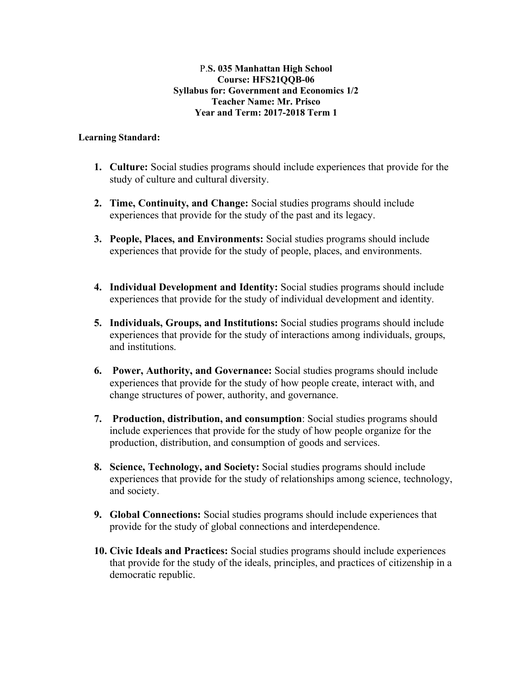#### P.**S. 035 Manhattan High School Course: HFS21QQB-06 Syllabus for: Government and Economics 1/2 Teacher Name: Mr. Prisco Year and Term: 2017-2018 Term 1**

#### **Learning Standard:**

- **1. Culture:** Social studies programs should include experiences that provide for the study of culture and cultural diversity.
- **2. Time, Continuity, and Change:** Social studies programs should include experiences that provide for the study of the past and its legacy.
- **3. People, Places, and Environments:** Social studies programs should include experiences that provide for the study of people, places, and environments.
- **4. Individual Development and Identity:** Social studies programs should include experiences that provide for the study of individual development and identity.
- **5. Individuals, Groups, and Institutions:** Social studies programs should include experiences that provide for the study of interactions among individuals, groups, and institutions.
- **6. Power, Authority, and Governance:** Social studies programs should include experiences that provide for the study of how people create, interact with, and change structures of power, authority, and governance.
- **7. Production, distribution, and consumption**: Social studies programs should include experiences that provide for the study of how people organize for the production, distribution, and consumption of goods and services.
- **8. Science, Technology, and Society:** Social studies programs should include experiences that provide for the study of relationships among science, technology, and society.
- **9. Global Connections:** Social studies programs should include experiences that provide for the study of global connections and interdependence.
- **10. Civic Ideals and Practices:** Social studies programs should include experiences that provide for the study of the ideals, principles, and practices of citizenship in a democratic republic.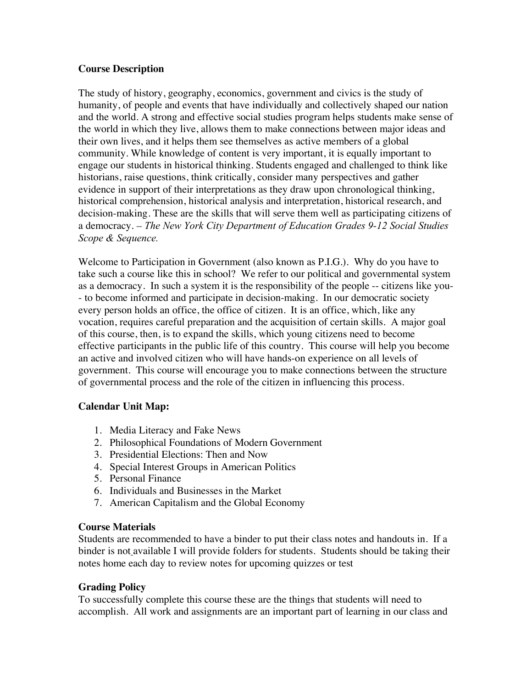## **Course Description**

The study of history, geography, economics, government and civics is the study of humanity, of people and events that have individually and collectively shaped our nation and the world. A strong and effective social studies program helps students make sense of the world in which they live, allows them to make connections between major ideas and their own lives, and it helps them see themselves as active members of a global community. While knowledge of content is very important, it is equally important to engage our students in historical thinking. Students engaged and challenged to think like historians, raise questions, think critically, consider many perspectives and gather evidence in support of their interpretations as they draw upon chronological thinking, historical comprehension, historical analysis and interpretation, historical research, and decision-making. These are the skills that will serve them well as participating citizens of a democracy*. – The New York City Department of Education Grades 9-12 Social Studies Scope & Sequence.* 

Welcome to Participation in Government (also known as P.I.G.). Why do you have to take such a course like this in school? We refer to our political and governmental system as a democracy. In such a system it is the responsibility of the people -- citizens like you- - to become informed and participate in decision-making. In our democratic society every person holds an office, the office of citizen. It is an office, which, like any vocation, requires careful preparation and the acquisition of certain skills. A major goal of this course, then, is to expand the skills, which young citizens need to become effective participants in the public life of this country. This course will help you become an active and involved citizen who will have hands-on experience on all levels of government. This course will encourage you to make connections between the structure of governmental process and the role of the citizen in influencing this process.

# **Calendar Unit Map:**

- 1. Media Literacy and Fake News
- 2. Philosophical Foundations of Modern Government
- 3. Presidential Elections: Then and Now
- 4. Special Interest Groups in American Politics
- 5. Personal Finance
- 6. Individuals and Businesses in the Market
- 7. American Capitalism and the Global Economy

### **Course Materials**

Students are recommended to have a binder to put their class notes and handouts in. If a binder is not available I will provide folders for students. Students should be taking their notes home each day to review notes for upcoming quizzes or test

# **Grading Policy**

To successfully complete this course these are the things that students will need to accomplish. All work and assignments are an important part of learning in our class and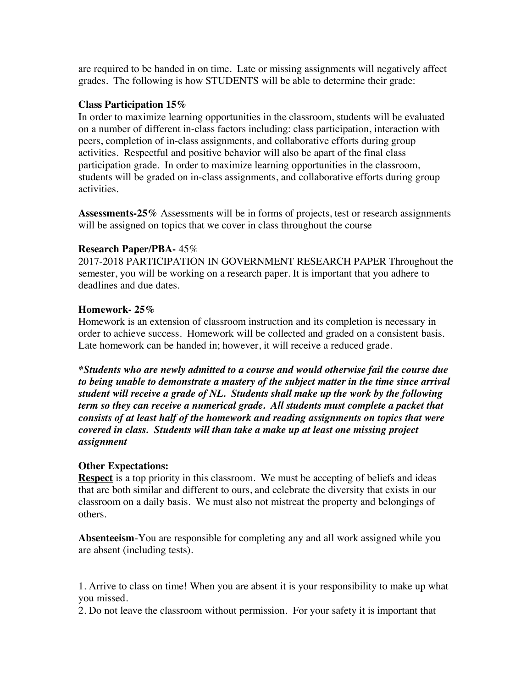are required to be handed in on time. Late or missing assignments will negatively affect grades. The following is how STUDENTS will be able to determine their grade:

### **Class Participation 15%**

In order to maximize learning opportunities in the classroom, students will be evaluated on a number of different in-class factors including: class participation, interaction with peers, completion of in-class assignments, and collaborative efforts during group activities. Respectful and positive behavior will also be apart of the final class participation grade. In order to maximize learning opportunities in the classroom, students will be graded on in-class assignments, and collaborative efforts during group activities.

**Assessments-25%** Assessments will be in forms of projects, test or research assignments will be assigned on topics that we cover in class throughout the course

### **Research Paper/PBA-** 45%

2017-2018 PARTICIPATION IN GOVERNMENT RESEARCH PAPER Throughout the semester, you will be working on a research paper. It is important that you adhere to deadlines and due dates.

## **Homework- 25%**

Homework is an extension of classroom instruction and its completion is necessary in order to achieve success. Homework will be collected and graded on a consistent basis. Late homework can be handed in; however, it will receive a reduced grade.

*\*Students who are newly admitted to a course and would otherwise fail the course due to being unable to demonstrate a mastery of the subject matter in the time since arrival student will receive a grade of NL. Students shall make up the work by the following term so they can receive a numerical grade. All students must complete a packet that consists of at least half of the homework and reading assignments on topics that were covered in class. Students will than take a make up at least one missing project assignment* 

# **Other Expectations:**

**Respect** is a top priority in this classroom. We must be accepting of beliefs and ideas that are both similar and different to ours, and celebrate the diversity that exists in our classroom on a daily basis. We must also not mistreat the property and belongings of others.

**Absenteeism**-You are responsible for completing any and all work assigned while you are absent (including tests).

1. Arrive to class on time! When you are absent it is your responsibility to make up what you missed.

2. Do not leave the classroom without permission. For your safety it is important that